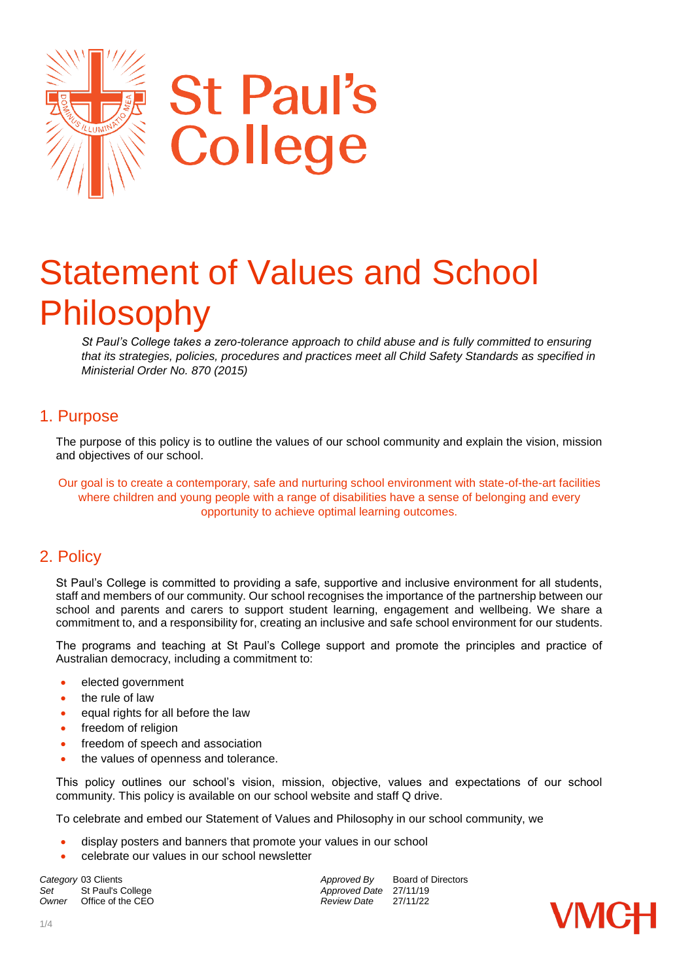

# Statement of Values and School Philosophy

*St Paul's College takes a zero-tolerance approach to child abuse and is fully committed to ensuring that its strategies, policies, procedures and practices meet all Child Safety Standards as specified in Ministerial Order No. 870 (2015)* 

## 1. Purpose

The purpose of this policy is to outline the values of our school community and explain the vision, mission and objectives of our school.

Our goal is to create a contemporary, safe and nurturing school environment with state-of-the-art facilities where children and young people with a range of disabilities have a sense of belonging and every opportunity to achieve optimal learning outcomes.

# 2. Policy

St Paul's College is committed to providing a safe, supportive and inclusive environment for all students, staff and members of our community. Our school recognises the importance of the partnership between our school and parents and carers to support student learning, engagement and wellbeing. We share a commitment to, and a responsibility for, creating an inclusive and safe school environment for our students.

The programs and teaching at St Paul's College support and promote the principles and practice of Australian democracy, including a commitment to:

- elected government
- the rule of law
- equal rights for all before the law
- freedom of religion
- freedom of speech and association
- the values of openness and tolerance.

This policy outlines our school's vision, mission, objective, values and expectations of our school community. This policy is available on our school website and staff Q drive.

To celebrate and embed our Statement of Values and Philosophy in our school community, we

- display posters and banners that promote your values in our school
- celebrate our values in our school newsletter

Set St Paul's College **Approved Date** 27/11/19<br>
Owner Office of the CEO **Approved Date** 27/11/22 *Office of the CEO* 

**Category** 03 Clients *Category* 03 Clients *Approved By* Board of Directors

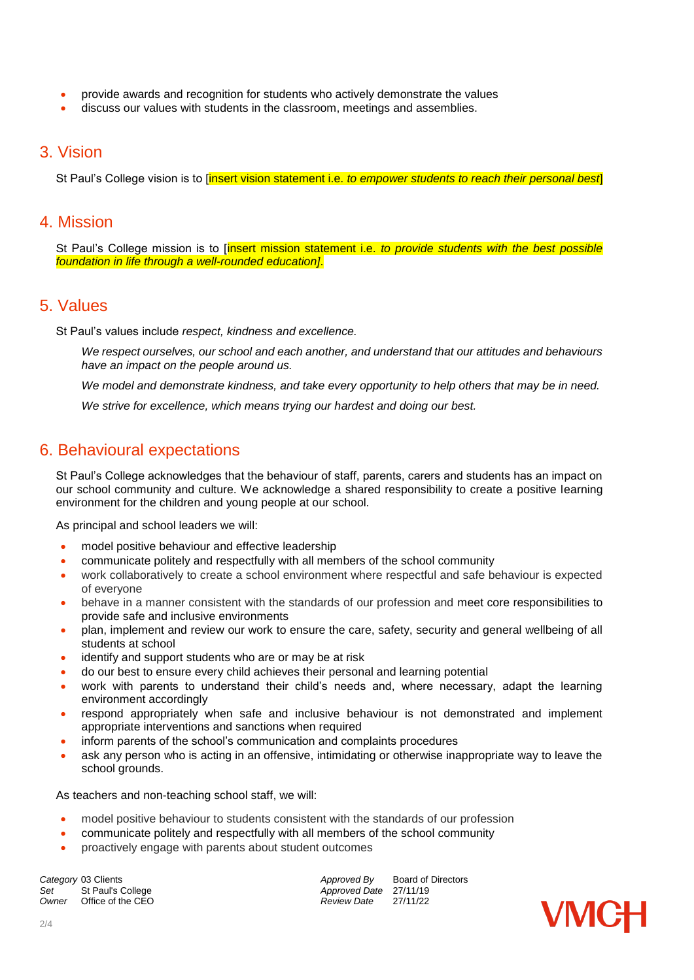- provide awards and recognition for students who actively demonstrate the values
- discuss our values with students in the classroom, meetings and assemblies.

### 3. Vision

St Paul's College vision is to [insert vision statement i.e. *to empower students to reach their personal best*]

### 4. Mission

St Paul's College mission is to [insert mission statement i.e. *to provide students with the best possible foundation in life through a well-rounded education]*.

### 5. Values

St Paul's values include *respect, kindness and excellence.*

*We respect ourselves, our school and each another, and understand that our attitudes and behaviours have an impact on the people around us.* 

*We model and demonstrate kindness, and take every opportunity to help others that may be in need.*

*We strive for excellence, which means trying our hardest and doing our best.* 

## 6. Behavioural expectations

St Paul's College acknowledges that the behaviour of staff, parents, carers and students has an impact on our school community and culture. We acknowledge a shared responsibility to create a positive learning environment for the children and young people at our school.

As principal and school leaders we will:

- model positive behaviour and effective leadership
- communicate politely and respectfully with all members of the school community
- work collaboratively to create a school environment where respectful and safe behaviour is expected of everyone
- behave in a manner consistent with the standards of our profession and meet core responsibilities to provide safe and inclusive environments
- plan, implement and review our work to ensure the care, safety, security and general wellbeing of all students at school
- identify and support students who are or may be at risk
- do our best to ensure every child achieves their personal and learning potential
- work with parents to understand their child's needs and, where necessary, adapt the learning environment accordingly
- respond appropriately when safe and inclusive behaviour is not demonstrated and implement appropriate interventions and sanctions when required
- inform parents of the school's communication and complaints procedures
- ask any person who is acting in an offensive, intimidating or otherwise inappropriate way to leave the school grounds.

As teachers and non-teaching school staff, we will:

- model positive behaviour to students consistent with the standards of our profession
- communicate politely and respectfully with all members of the school community
- proactively engage with parents about student outcomes

**Category** 03 Clients *Category* 03 Clients *Approved By* Board of Directors *Approved By* Board of Directors Set St Paul's College *Set* St Paul's College **Approved Date** 27/11/19<br> *Approved Date* 27/11/22 *Office of the CEO* 

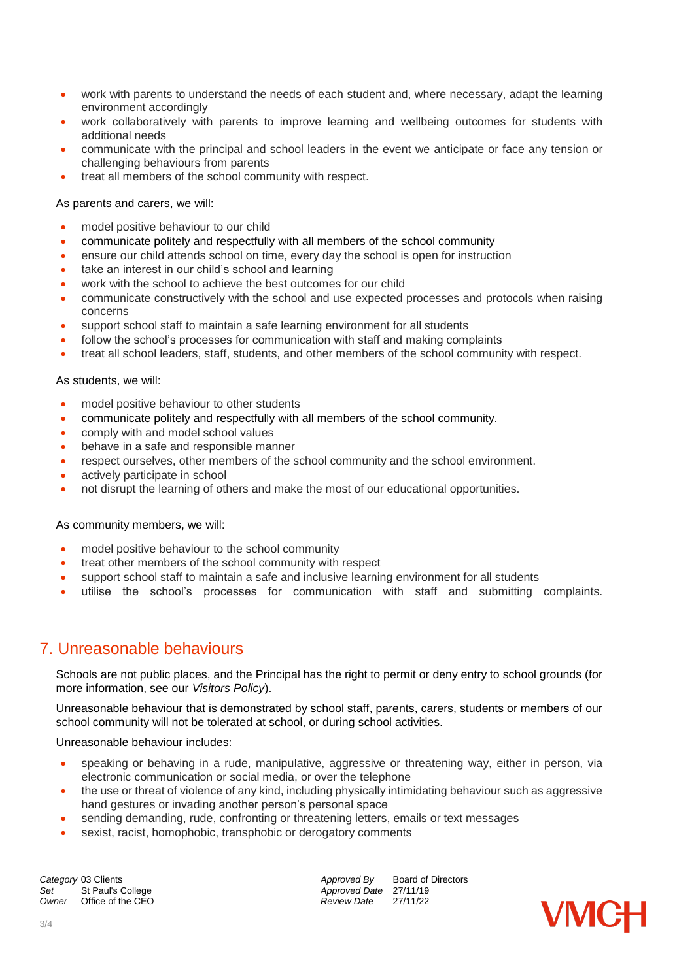- work with parents to understand the needs of each student and, where necessary, adapt the learning environment accordingly
- work collaboratively with parents to improve learning and wellbeing outcomes for students with additional needs
- communicate with the principal and school leaders in the event we anticipate or face any tension or challenging behaviours from parents
- treat all members of the school community with respect.

#### As parents and carers, we will:

- model positive behaviour to our child
- communicate politely and respectfully with all members of the school community
- ensure our child attends school on time, every day the school is open for instruction
- take an interest in our child's school and learning
- work with the school to achieve the best outcomes for our child
- communicate constructively with the school and use expected processes and protocols when raising concerns
- support school staff to maintain a safe learning environment for all students
- follow the school's processes for communication with staff and making complaints
- treat all school leaders, staff, students, and other members of the school community with respect.

#### As students, we will:

- model positive behaviour to other students
- communicate politely and respectfully with all members of the school community.
- comply with and model school values
- behave in a safe and responsible manner
- respect ourselves, other members of the school community and the school environment.
- actively participate in school
- not disrupt the learning of others and make the most of our educational opportunities.

#### As community members, we will:

- model positive behaviour to the school community
- treat other members of the school community with respect
- support school staff to maintain a safe and inclusive learning environment for all students
- utilise the school's processes for communication with staff and submitting complaints.

# 7. Unreasonable behaviours

Schools are not public places, and the Principal has the right to permit or deny entry to school grounds (for more information, see our *Visitors Policy*).

Unreasonable behaviour that is demonstrated by school staff, parents, carers, students or members of our school community will not be tolerated at school, or during school activities.

Unreasonable behaviour includes:

- speaking or behaving in a rude, manipulative, aggressive or threatening way, either in person, via electronic communication or social media, or over the telephone
- the use or threat of violence of any kind, including physically intimidating behaviour such as aggressive hand gestures or invading another person's personal space
- sending demanding, rude, confronting or threatening letters, emails or text messages
- sexist, racist, homophobic, transphobic or derogatory comments

**Category** 03 Clients **Approved By** Board of Directors *Approved By* Board of Directors *Approved Bate* 27/11/19 Set St Paul's College *Set* St Paul's College *Approved Date* 27/11/19<br> *Owner* Office of the CEO *Approved Date* 27/11/22 *Office of the CEO*